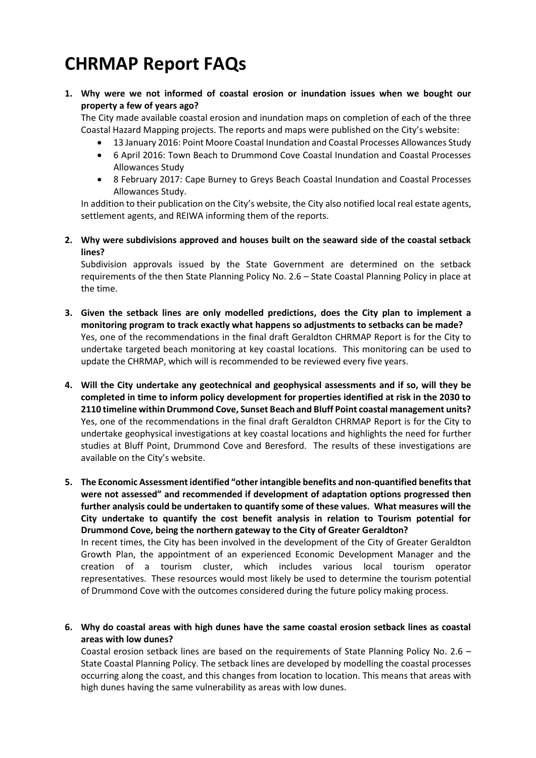# **CHRMAP Report FAQs**

**1. Why were we not informed of coastal erosion or inundation issues when we bought our property a few of years ago?**

The City made available coastal erosion and inundation maps on completion of each of the three Coastal Hazard Mapping projects. The reports and maps were published on the City's website:

- 13 January 2016: Point Moore Coastal Inundation and Coastal Processes Allowances Study
- 6 April 2016: Town Beach to Drummond Cove Coastal Inundation and Coastal Processes Allowances Study
- 8 February 2017: Cape Burney to Greys Beach Coastal Inundation and Coastal Processes Allowances Study.

In addition to their publication on the City's website, the City also notified local real estate agents, settlement agents, and REIWA informing them of the reports.

**2. Why were subdivisions approved and houses built on the seaward side of the coastal setback lines?**

Subdivision approvals issued by the State Government are determined on the setback requirements of the then State Planning Policy No. 2.6 – State Coastal Planning Policy in place at the time.

- **3. Given the setback lines are only modelled predictions, does the City plan to implement a monitoring program to track exactly what happens so adjustments to setbacks can be made?** Yes, one of the recommendations in the final draft Geraldton CHRMAP Report is for the City to undertake targeted beach monitoring at key coastal locations. This monitoring can be used to update the CHRMAP, which will is recommended to be reviewed every five years.
- **4. Will the City undertake any geotechnical and geophysical assessments and if so, will they be completed in time to inform policy development for properties identified at risk in the 2030 to 2110 timeline within Drummond Cove, Sunset Beach and Bluff Point coastal management units?** Yes, one of the recommendations in the final draft Geraldton CHRMAP Report is for the City to undertake geophysical investigations at key coastal locations and highlights the need for further studies at Bluff Point, Drummond Cove and Beresford. The results of these investigations are available on the City's website.
- **5. The Economic Assessment identified "other intangible benefits and non-quantified benefits that were not assessed" and recommended if development of adaptation options progressed then further analysis could be undertaken to quantify some of these values.  What measures will the City undertake to quantify the cost benefit analysis in relation to Tourism potential for Drummond Cove, being the northern gateway to the City of Greater Geraldton?** In recent times, the City has been involved in the development of the City of Greater Geraldton Growth Plan, the appointment of an experienced Economic Development Manager and the creation of a tourism cluster, which includes various local tourism operator representatives. These resources would most likely be used to determine the tourism potential of Drummond Cove with the outcomes considered during the future policy making process.
- **6. Why do coastal areas with high dunes have the same coastal erosion setback lines as coastal areas with low dunes?**

Coastal erosion setback lines are based on the requirements of State Planning Policy No. 2.6 – State Coastal Planning Policy. The setback lines are developed by modelling the coastal processes occurring along the coast, and this changes from location to location. This means that areas with high dunes having the same vulnerability as areas with low dunes.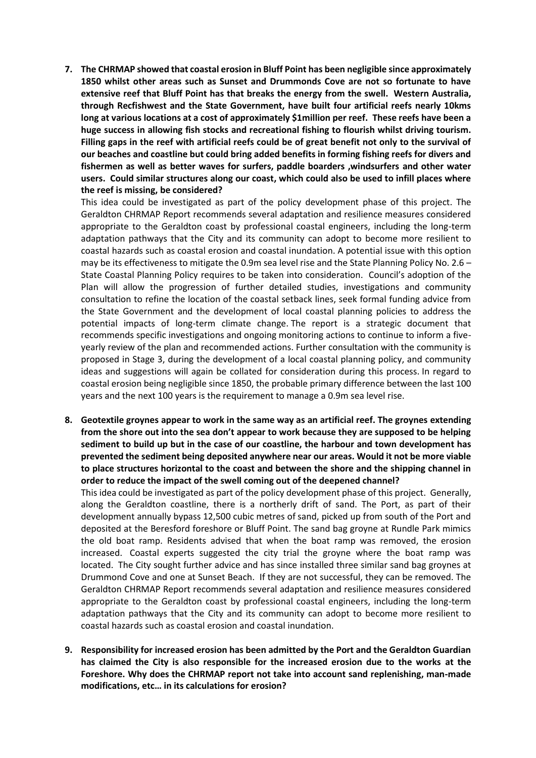**7. The CHRMAP showed that coastal erosion in Bluff Point has been negligible since approximately 1850 whilst other areas such as Sunset and Drummonds Cove are not so fortunate to have extensive reef that Bluff Point has that breaks the energy from the swell. Western Australia, through Recfishwest and the State Government, have built four artificial reefs nearly 10kms long at various locations at a cost of approximately \$1million per reef. These reefs have been a huge success in allowing fish stocks and recreational fishing to flourish whilst driving tourism. Filling gaps in the reef with artificial reefs could be of great benefit not only to the survival of our beaches and coastline but could bring added benefits in forming fishing reefs for divers and fishermen as well as better waves for surfers, paddle boarders ,windsurfers and other water users. Could similar structures along our coast, which could also be used to infill places where the reef is missing, be considered?**

This idea could be investigated as part of the policy development phase of this project. The Geraldton CHRMAP Report recommends several adaptation and resilience measures considered appropriate to the Geraldton coast by professional coastal engineers, including the long-term adaptation pathways that the City and its community can adopt to become more resilient to coastal hazards such as coastal erosion and coastal inundation. A potential issue with this option may be its effectiveness to mitigate the 0.9m sea level rise and the State Planning Policy No. 2.6 – State Coastal Planning Policy requires to be taken into consideration. Council's adoption of the Plan will allow the progression of further detailed studies, investigations and community consultation to refine the location of the coastal setback lines, seek formal funding advice from the State Government and the development of local coastal planning policies to address the potential impacts of long-term climate change. The report is a strategic document that recommends specific investigations and ongoing monitoring actions to continue to inform a fiveyearly review of the plan and recommended actions. Further consultation with the community is proposed in Stage 3, during the development of a local coastal planning policy, and community ideas and suggestions will again be collated for consideration during this process. In regard to coastal erosion being negligible since 1850, the probable primary difference between the last 100 years and the next 100 years is the requirement to manage a 0.9m sea level rise.

**8. Geotextile groynes appear to work in the same way as an artificial reef. The groynes extending from the shore out into the sea don't appear to work because they are supposed to be helping sediment to build up but in the case of our coastline, the harbour and town development has prevented the sediment being deposited anywhere near our areas. Would it not be more viable to place structures horizontal to the coast and between the shore and the shipping channel in order to reduce the impact of the swell coming out of the deepened channel?** 

This idea could be investigated as part of the policy development phase of this project. Generally, along the Geraldton coastline, there is a northerly drift of sand. The Port, as part of their development annually bypass 12,500 cubic metres of sand, picked up from south of the Port and deposited at the Beresford foreshore or Bluff Point. The sand bag groyne at Rundle Park mimics the old boat ramp. Residents advised that when the boat ramp was removed, the erosion increased. Coastal experts suggested the city trial the groyne where the boat ramp was located. The City sought further advice and has since installed three similar sand bag groynes at Drummond Cove and one at Sunset Beach. If they are not successful, they can be removed. The Geraldton CHRMAP Report recommends several adaptation and resilience measures considered appropriate to the Geraldton coast by professional coastal engineers, including the long-term adaptation pathways that the City and its community can adopt to become more resilient to coastal hazards such as coastal erosion and coastal inundation.

**9. Responsibility for increased erosion has been admitted by the Port and the Geraldton Guardian has claimed the City is also responsible for the increased erosion due to the works at the Foreshore. Why does the CHRMAP report not take into account sand replenishing, man-made modifications, etc… in its calculations for erosion?**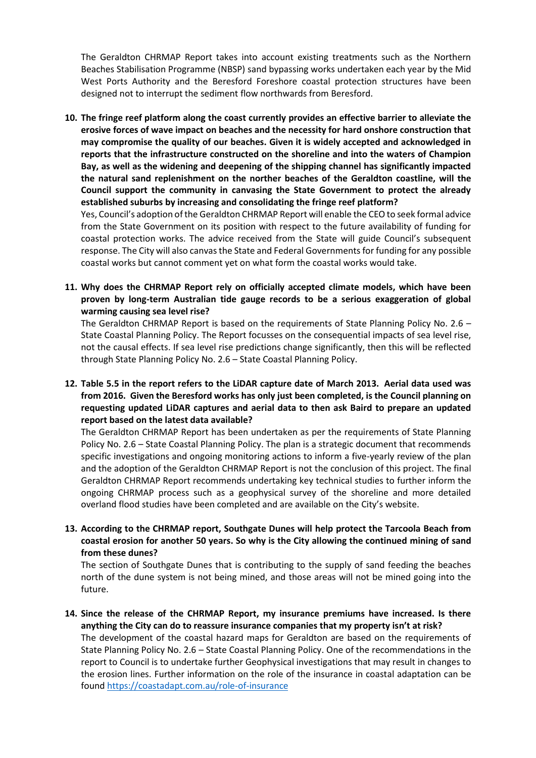The Geraldton CHRMAP Report takes into account existing treatments such as the Northern Beaches Stabilisation Programme (NBSP) sand bypassing works undertaken each year by the Mid West Ports Authority and the Beresford Foreshore coastal protection structures have been designed not to interrupt the sediment flow northwards from Beresford.

**10. The fringe reef platform along the coast currently provides an effective barrier to alleviate the erosive forces of wave impact on beaches and the necessity for hard onshore construction that may compromise the quality of our beaches. Given it is widely accepted and acknowledged in reports that the infrastructure constructed on the shoreline and into the waters of Champion Bay, as well as the widening and deepening of the shipping channel has significantly impacted the natural sand replenishment on the norther beaches of the Geraldton coastline, will the Council support the community in canvasing the State Government to protect the already established suburbs by increasing and consolidating the fringe reef platform?**

Yes, Council's adoption of the Geraldton CHRMAP Report will enable the CEO to seek formal advice from the State Government on its position with respect to the future availability of funding for coastal protection works. The advice received from the State will guide Council's subsequent response. The City will also canvas the State and Federal Governments for funding for any possible coastal works but cannot comment yet on what form the coastal works would take.

**11. Why does the CHRMAP Report rely on officially accepted climate models, which have been proven by long-term Australian tide gauge records to be a serious exaggeration of global warming causing sea level rise?**

The Geraldton CHRMAP Report is based on the requirements of State Planning Policy No. 2.6 – State Coastal Planning Policy. The Report focusses on the consequential impacts of sea level rise, not the causal effects. If sea level rise predictions change significantly, then this will be reflected through State Planning Policy No. 2.6 – State Coastal Planning Policy.

**12. Table 5.5 in the report refers to the LiDAR capture date of March 2013. Aerial data used was from 2016. Given the Beresford works has only just been completed, is the Council planning on requesting updated LiDAR captures and aerial data to then ask Baird to prepare an updated report based on the latest data available?**

The Geraldton CHRMAP Report has been undertaken as per the requirements of State Planning Policy No. 2.6 – State Coastal Planning Policy. The plan is a strategic document that recommends specific investigations and ongoing monitoring actions to inform a five-yearly review of the plan and the adoption of the Geraldton CHRMAP Report is not the conclusion of this project. The final Geraldton CHRMAP Report recommends undertaking key technical studies to further inform the ongoing CHRMAP process such as a geophysical survey of the shoreline and more detailed overland flood studies have been completed and are available on the City's website.

**13. According to the CHRMAP report, Southgate Dunes will help protect the Tarcoola Beach from coastal erosion for another 50 years. So why is the City allowing the continued mining of sand from these dunes?**

The section of Southgate Dunes that is contributing to the supply of sand feeding the beaches north of the dune system is not being mined, and those areas will not be mined going into the future.

**14. Since the release of the CHRMAP Report, my insurance premiums have increased. Is there anything the City can do to reassure insurance companies that my property isn't at risk?** The development of the coastal hazard maps for Geraldton are based on the requirements of State Planning Policy No. 2.6 – State Coastal Planning Policy. One of the recommendations in the report to Council is to undertake further Geophysical investigations that may result in changes to the erosion lines. Further information on the role of the insurance in coastal adaptation can be found https://coastadapt.com.au/role-of-insurance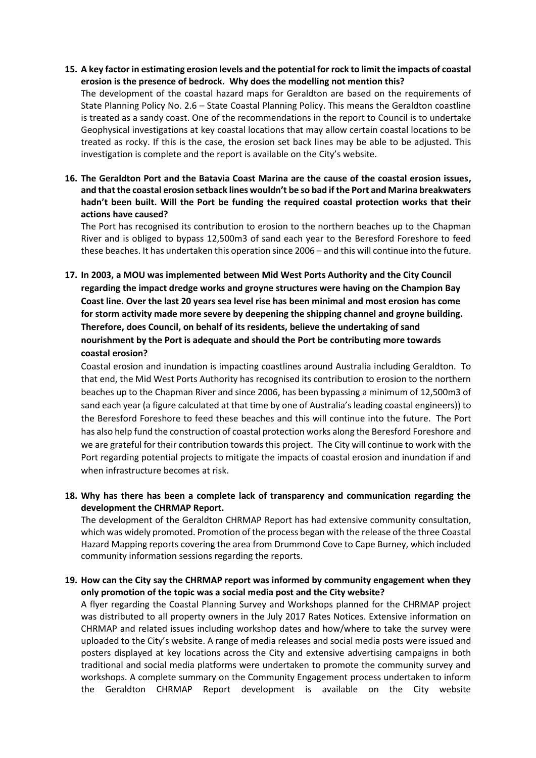**15. A key factor in estimating erosion levels and the potential for rock to limit the impacts of coastal erosion is the presence of bedrock. Why does the modelling not mention this?**

The development of the coastal hazard maps for Geraldton are based on the requirements of State Planning Policy No. 2.6 – State Coastal Planning Policy. This means the Geraldton coastline is treated as a sandy coast. One of the recommendations in the report to Council is to undertake Geophysical investigations at key coastal locations that may allow certain coastal locations to be treated as rocky. If this is the case, the erosion set back lines may be able to be adjusted. This investigation is complete and the report is available on the City's website.

**16. The Geraldton Port and the Batavia Coast Marina are the cause of the coastal erosion issues, and that the coastal erosion setback lines wouldn't be so bad if the Port and Marina breakwaters hadn't been built. Will the Port be funding the required coastal protection works that their actions have caused?**

The Port has recognised its contribution to erosion to the northern beaches up to the Chapman River and is obliged to bypass 12,500m3 of sand each year to the Beresford Foreshore to feed these beaches. It has undertaken this operation since 2006 – and this will continue into the future.

**17. In 2003, a MOU was implemented between Mid West Ports Authority and the City Council regarding the impact dredge works and groyne structures were having on the Champion Bay Coast line. Over the last 20 years sea level rise has been minimal and most erosion has come for storm activity made more severe by deepening the shipping channel and groyne building. Therefore, does Council, on behalf of its residents, believe the undertaking of sand nourishment by the Port is adequate and should the Port be contributing more towards coastal erosion?**

Coastal erosion and inundation is impacting coastlines around Australia including Geraldton. To that end, the Mid West Ports Authority has recognised its contribution to erosion to the northern beaches up to the Chapman River and since 2006, has been bypassing a minimum of 12,500m3 of sand each year (a figure calculated at that time by one of Australia's leading coastal engineers)) to the Beresford Foreshore to feed these beaches and this will continue into the future. The Port has also help fund the construction of coastal protection works along the Beresford Foreshore and we are grateful for their contribution towards this project. The City will continue to work with the Port regarding potential projects to mitigate the impacts of coastal erosion and inundation if and when infrastructure becomes at risk.

**18. Why has there has been a complete lack of transparency and communication regarding the development the CHRMAP Report.** 

The development of the Geraldton CHRMAP Report has had extensive community consultation, which was widely promoted. Promotion of the process began with the release of the three Coastal Hazard Mapping reports covering the area from Drummond Cove to Cape Burney, which included community information sessions regarding the reports.

**19. How can the City say the CHRMAP report was informed by community engagement when they only promotion of the topic was a social media post and the City website?**

A flyer regarding the Coastal Planning Survey and Workshops planned for the CHRMAP project was distributed to all property owners in the July 2017 Rates Notices. Extensive information on CHRMAP and related issues including workshop dates and how/where to take the survey were uploaded to the City's website. A range of media releases and social media posts were issued and posters displayed at key locations across the City and extensive advertising campaigns in both traditional and social media platforms were undertaken to promote the community survey and workshops. A complete summary on the Community Engagement process undertaken to inform the Geraldton CHRMAP Report development is available on the City website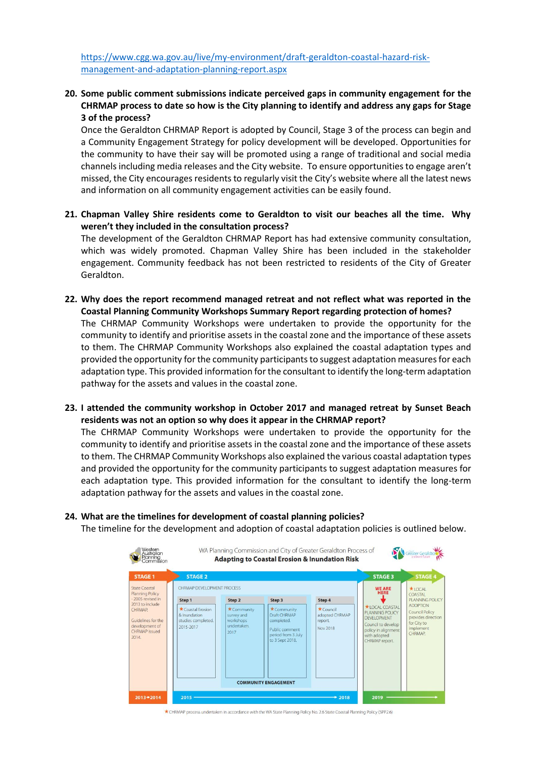[https://www.cgg.wa.gov.au/live/my-environment/draft-geraldton-coastal-hazard-risk](https://www.cgg.wa.gov.au/live/my-environment/draft-geraldton-coastal-hazard-risk-management-and-adaptation-planning-report.aspx)[management-and-adaptation-planning-report.aspx](https://www.cgg.wa.gov.au/live/my-environment/draft-geraldton-coastal-hazard-risk-management-and-adaptation-planning-report.aspx)

**20. Some public comment submissions indicate perceived gaps in community engagement for the CHRMAP process to date so how is the City planning to identify and address any gaps for Stage 3 of the process?**

Once the Geraldton CHRMAP Report is adopted by Council, Stage 3 of the process can begin and a Community Engagement Strategy for policy development will be developed. Opportunities for the community to have their say will be promoted using a range of traditional and social media channels including media releases and the City website. To ensure opportunities to engage aren't missed, the City encourages residents to regularly visit the City's website where all the latest news and information on all community engagement activities can be easily found.

**21. Chapman Valley Shire residents come to Geraldton to visit our beaches all the time. Why weren't they included in the consultation process?**

The development of the Geraldton CHRMAP Report has had extensive community consultation, which was widely promoted. Chapman Valley Shire has been included in the stakeholder engagement. Community feedback has not been restricted to residents of the City of Greater Geraldton.

- **22. Why does the report recommend managed retreat and not reflect what was reported in the Coastal Planning Community Workshops Summary Report regarding protection of homes?** The CHRMAP Community Workshops were undertaken to provide the opportunity for the community to identify and prioritise assets in the coastal zone and the importance of these assets to them. The CHRMAP Community Workshops also explained the coastal adaptation types and provided the opportunity for the community participants to suggest adaptation measures for each adaptation type. This provided information for the consultant to identify the long-term adaptation pathway for the assets and values in the coastal zone.
- **23. I attended the community workshop in October 2017 and managed retreat by Sunset Beach residents was not an option so why does it appear in the CHRMAP report?**

The CHRMAP Community Workshops were undertaken to provide the opportunity for the community to identify and prioritise assets in the coastal zone and the importance of these assets to them. The CHRMAP Community Workshops also explained the various coastal adaptation types and provided the opportunity for the community participants to suggest adaptation measures for each adaptation type. This provided information for the consultant to identify the long-term adaptation pathway for the assets and values in the coastal zone.

#### **24. What are the timelines for development of coastal planning policies?**

The timeline for the development and adoption of coastal adaptation policies is outlined below.



\* CHRMAP process undertaken in accordance with the WA State Planning Policy No. 2.6 State Coastal Planning Policy (SPP2.6)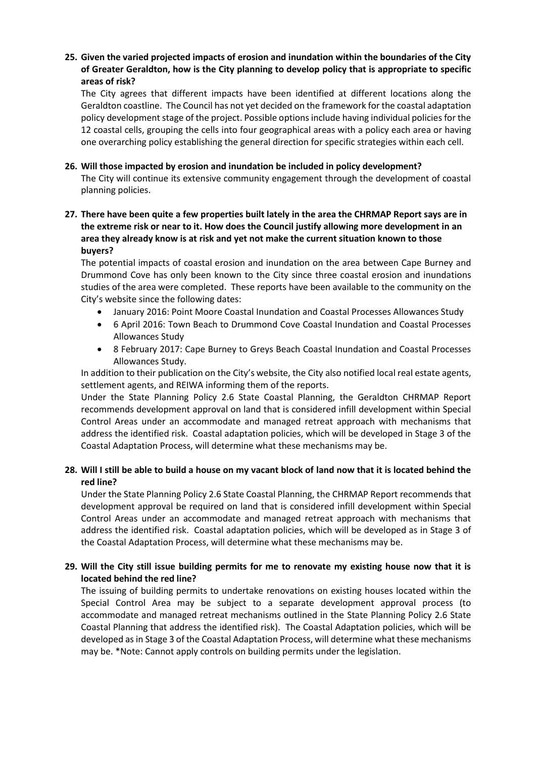#### **25. Given the varied projected impacts of erosion and inundation within the boundaries of the City of Greater Geraldton, how is the City planning to develop policy that is appropriate to specific areas of risk?**

The City agrees that different impacts have been identified at different locations along the Geraldton coastline. The Council has not yet decided on the framework for the coastal adaptation policy development stage of the project. Possible options include having individual policies for the 12 coastal cells, grouping the cells into four geographical areas with a policy each area or having one overarching policy establishing the general direction for specific strategies within each cell.

#### **26. Will those impacted by erosion and inundation be included in policy development?**

The City will continue its extensive community engagement through the development of coastal planning policies.

## **27. There have been quite a few properties built lately in the area the CHRMAP Report says are in the extreme risk or near to it. How does the Council justify allowing more development in an area they already know is at risk and yet not make the current situation known to those buyers?**

The potential impacts of coastal erosion and inundation on the area between Cape Burney and Drummond Cove has only been known to the City since three coastal erosion and inundations studies of the area were completed. These reports have been available to the community on the City's website since the following dates:

- January 2016: Point Moore Coastal Inundation and Coastal Processes Allowances Study
- 6 April 2016: Town Beach to Drummond Cove Coastal Inundation and Coastal Processes Allowances Study
- 8 February 2017: Cape Burney to Greys Beach Coastal Inundation and Coastal Processes Allowances Study.

In addition to their publication on the City's website, the City also notified local real estate agents, settlement agents, and REIWA informing them of the reports.

Under the State Planning Policy 2.6 State Coastal Planning, the Geraldton CHRMAP Report recommends development approval on land that is considered infill development within Special Control Areas under an accommodate and managed retreat approach with mechanisms that address the identified risk. Coastal adaptation policies, which will be developed in Stage 3 of the Coastal Adaptation Process, will determine what these mechanisms may be.

## **28. Will I still be able to build a house on my vacant block of land now that it is located behind the red line?**

Under the State Planning Policy 2.6 State Coastal Planning, the CHRMAP Report recommends that development approval be required on land that is considered infill development within Special Control Areas under an accommodate and managed retreat approach with mechanisms that address the identified risk. Coastal adaptation policies, which will be developed as in Stage 3 of the Coastal Adaptation Process, will determine what these mechanisms may be.

## **29. Will the City still issue building permits for me to renovate my existing house now that it is located behind the red line?**

The issuing of building permits to undertake renovations on existing houses located within the Special Control Area may be subject to a separate development approval process (to accommodate and managed retreat mechanisms outlined in the State Planning Policy 2.6 State Coastal Planning that address the identified risk). The Coastal Adaptation policies, which will be developed as in Stage 3 of the Coastal Adaptation Process, will determine what these mechanisms may be. \*Note: Cannot apply controls on building permits under the legislation.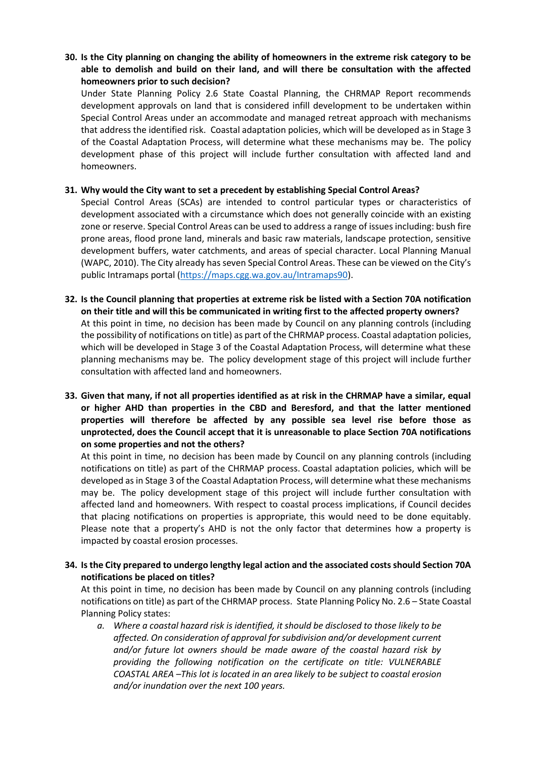#### **30. Is the City planning on changing the ability of homeowners in the extreme risk category to be able to demolish and build on their land, and will there be consultation with the affected homeowners prior to such decision?**

Under State Planning Policy 2.6 State Coastal Planning, the CHRMAP Report recommends development approvals on land that is considered infill development to be undertaken within Special Control Areas under an accommodate and managed retreat approach with mechanisms that address the identified risk. Coastal adaptation policies, which will be developed as in Stage 3 of the Coastal Adaptation Process, will determine what these mechanisms may be. The policy development phase of this project will include further consultation with affected land and homeowners.

#### **31. Why would the City want to set a precedent by establishing Special Control Areas?**

Special Control Areas (SCAs) are intended to control particular types or characteristics of development associated with a circumstance which does not generally coincide with an existing zone or reserve. Special Control Areas can be used to address a range of issues including: bush fire prone areas, flood prone land, minerals and basic raw materials, landscape protection, sensitive development buffers, water catchments, and areas of special character. Local Planning Manual (WAPC, 2010). The City already has seven Special Control Areas. These can be viewed on the City's public Intramaps portal [\(https://maps.cgg.wa.gov.au/Intramaps90\)](https://maps.cgg.wa.gov.au/Intramaps90).

- **32. Is the Council planning that properties at extreme risk be listed with a Section 70A notification on their title and will this be communicated in writing first to the affected property owners?** At this point in time, no decision has been made by Council on any planning controls (including the possibility of notifications on title) as part of the CHRMAP process. Coastal adaptation policies, which will be developed in Stage 3 of the Coastal Adaptation Process, will determine what these planning mechanisms may be. The policy development stage of this project will include further consultation with affected land and homeowners.
- **33. Given that many, if not all properties identified as at risk in the CHRMAP have a similar, equal or higher AHD than properties in the CBD and Beresford, and that the latter mentioned properties will therefore be affected by any possible sea level rise before those as unprotected, does the Council accept that it is unreasonable to place Section 70A notifications on some properties and not the others?**

At this point in time, no decision has been made by Council on any planning controls (including notifications on title) as part of the CHRMAP process. Coastal adaptation policies, which will be developed as in Stage 3 of the Coastal Adaptation Process, will determine what these mechanisms may be. The policy development stage of this project will include further consultation with affected land and homeowners. With respect to coastal process implications, if Council decides that placing notifications on properties is appropriate, this would need to be done equitably. Please note that a property's AHD is not the only factor that determines how a property is impacted by coastal erosion processes.

## **34. Is the City prepared to undergo lengthy legal action and the associated costs should Section 70A notifications be placed on titles?**

At this point in time, no decision has been made by Council on any planning controls (including notifications on title) as part of the CHRMAP process. State Planning Policy No. 2.6 – State Coastal Planning Policy states:

*a. Where a coastal hazard risk is identified, it should be disclosed to those likely to be affected. On consideration of approval for subdivision and/or development current and/or future lot owners should be made aware of the coastal hazard risk by providing the following notification on the certificate on title: VULNERABLE COASTAL AREA –This lot is located in an area likely to be subject to coastal erosion and/or inundation over the next 100 years.*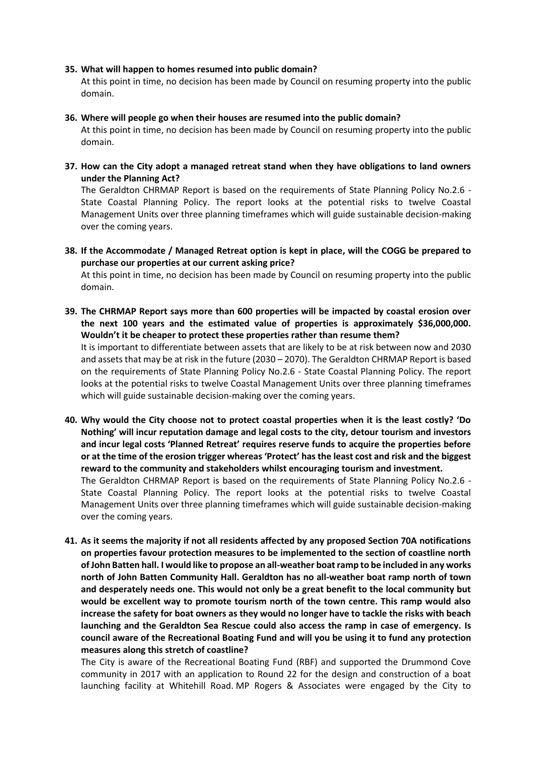#### **35. What will happen to homes resumed into public domain?**

At this point in time, no decision has been made by Council on resuming property into the public domain.

#### **36. Where will people go when their houses are resumed into the public domain?**

At this point in time, no decision has been made by Council on resuming property into the public domain.

**37. How can the City adopt a managed retreat stand when they have obligations to land owners under the Planning Act?**

The Geraldton CHRMAP Report is based on the requirements of State Planning Policy No.2.6 - State Coastal Planning Policy. The report looks at the potential risks to twelve Coastal Management Units over three planning timeframes which will guide sustainable decision-making over the coming years.

**38. If the Accommodate / Managed Retreat option is kept in place, will the COGG be prepared to purchase our properties at our current asking price?**

At this point in time, no decision has been made by Council on resuming property into the public domain.

**39. The CHRMAP Report says more than 600 properties will be impacted by coastal erosion over the next 100 years and the estimated value of properties is approximately \$36,000,000. Wouldn't it be cheaper to protect these properties rather than resume them?**

It is important to differentiate between assets that are likely to be at risk between now and 2030 and assets that may be at risk in the future (2030 – 2070). The Geraldton CHRMAP Report is based on the requirements of State Planning Policy No.2.6 - State Coastal Planning Policy. The report looks at the potential risks to twelve Coastal Management Units over three planning timeframes which will guide sustainable decision-making over the coming years.

**40. Why would the City choose not to protect coastal properties when it is the least costly? 'Do Nothing' will incur reputation damage and legal costs to the city, detour tourism and investors and incur legal costs 'Planned Retreat' requires reserve funds to acquire the properties before or at the time of the erosion trigger whereas 'Protect' has the least cost and risk and the biggest reward to the community and stakeholders whilst encouraging tourism and investment.** The Geraldton CHRMAP Report is based on the requirements of State Planning Policy No.2.6 -

State Coastal Planning Policy. The report looks at the potential risks to twelve Coastal Management Units over three planning timeframes which will guide sustainable decision-making over the coming years.

**41. As it seems the majority if not all residents affected by any proposed Section 70A notifications on properties favour protection measures to be implemented to the section of coastline north of John Batten hall. I would like to propose an all-weather boat ramp to be included in any works north of John Batten Community Hall. Geraldton has no all-weather boat ramp north of town and desperately needs one. This would not only be a great benefit to the local community but would be excellent way to promote tourism north of the town centre. This ramp would also increase the safety for boat owners as they would no longer have to tackle the risks with beach launching and the Geraldton Sea Rescue could also access the ramp in case of emergency. Is council aware of the Recreational Boating Fund and will you be using it to fund any protection measures along this stretch of coastline?**

The City is aware of the Recreational Boating Fund (RBF) and supported the Drummond Cove community in 2017 with an application to Round 22 for the design and construction of a boat launching facility at Whitehill Road. MP Rogers & Associates were engaged by the City to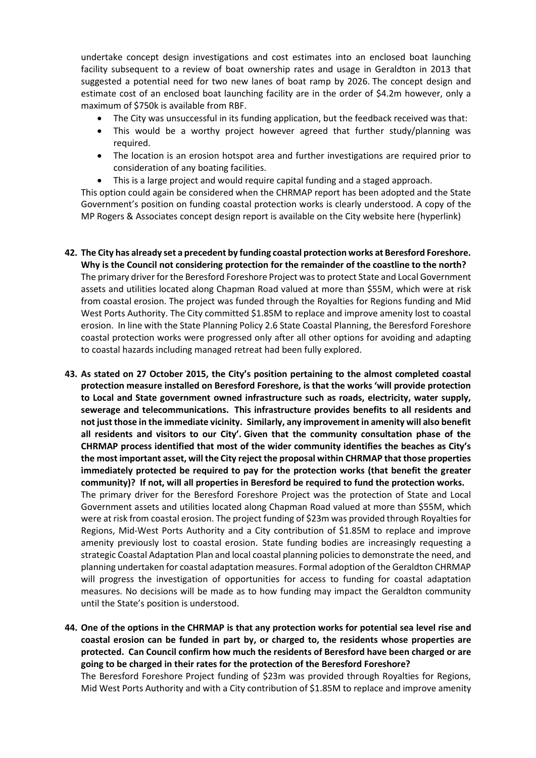undertake concept design investigations and cost estimates into an enclosed boat launching facility subsequent to a review of boat ownership rates and usage in Geraldton in 2013 that suggested a potential need for two new lanes of boat ramp by 2026. The concept design and estimate cost of an enclosed boat launching facility are in the order of \$4.2m however, only a maximum of \$750k is available from RBF.

- The City was unsuccessful in its funding application, but the feedback received was that:
- This would be a worthy project however agreed that further study/planning was required.
- The location is an erosion hotspot area and further investigations are required prior to consideration of any boating facilities.
- This is a large project and would require capital funding and a staged approach.

This option could again be considered when the CHRMAP report has been adopted and the State Government's position on funding coastal protection works is clearly understood. A copy of the MP Rogers & Associates concept design report is available on the City website here (hyperlink)

- **42. The City has already set a precedent by funding coastal protection works at Beresford Foreshore. Why is the Council not considering protection for the remainder of the coastline to the north?** The primary driver for the Beresford Foreshore Project was to protect State and Local Government assets and utilities located along Chapman Road valued at more than \$55M, which were at risk from coastal erosion. The project was funded through the Royalties for Regions funding and Mid West Ports Authority. The City committed \$1.85M to replace and improve amenity lost to coastal erosion. In line with the State Planning Policy 2.6 State Coastal Planning, the Beresford Foreshore coastal protection works were progressed only after all other options for avoiding and adapting to coastal hazards including managed retreat had been fully explored.
- **43. As stated on 27 October 2015, the City's position pertaining to the almost completed coastal protection measure installed on Beresford Foreshore, is that the works 'will provide protection to Local and State government owned infrastructure such as roads, electricity, water supply, sewerage and telecommunications. This infrastructure provides benefits to all residents and not just those in the immediate vicinity. Similarly, any improvement in amenity will also benefit all residents and visitors to our City'. Given that the community consultation phase of the CHRMAP process identified that most of the wider community identifies the beaches as City's the most important asset, will the City reject the proposal within CHRMAP that those properties immediately protected be required to pay for the protection works (that benefit the greater community)? If not, will all properties in Beresford be required to fund the protection works.** The primary driver for the Beresford Foreshore Project was the protection of State and Local Government assets and utilities located along Chapman Road valued at more than \$55M, which were at risk from coastal erosion. The project funding of \$23m was provided through Royalties for Regions, Mid-West Ports Authority and a City contribution of \$1.85M to replace and improve amenity previously lost to coastal erosion. State funding bodies are increasingly requesting a strategic Coastal Adaptation Plan and local coastal planning policies to demonstrate the need, and planning undertaken for coastal adaptation measures. Formal adoption of the Geraldton CHRMAP will progress the investigation of opportunities for access to funding for coastal adaptation measures. No decisions will be made as to how funding may impact the Geraldton community until the State's position is understood.
- **44. One of the options in the CHRMAP is that any protection works for potential sea level rise and coastal erosion can be funded in part by, or charged to, the residents whose properties are protected. Can Council confirm how much the residents of Beresford have been charged or are going to be charged in their rates for the protection of the Beresford Foreshore?** The Beresford Foreshore Project funding of \$23m was provided through Royalties for Regions, Mid West Ports Authority and with a City contribution of \$1.85M to replace and improve amenity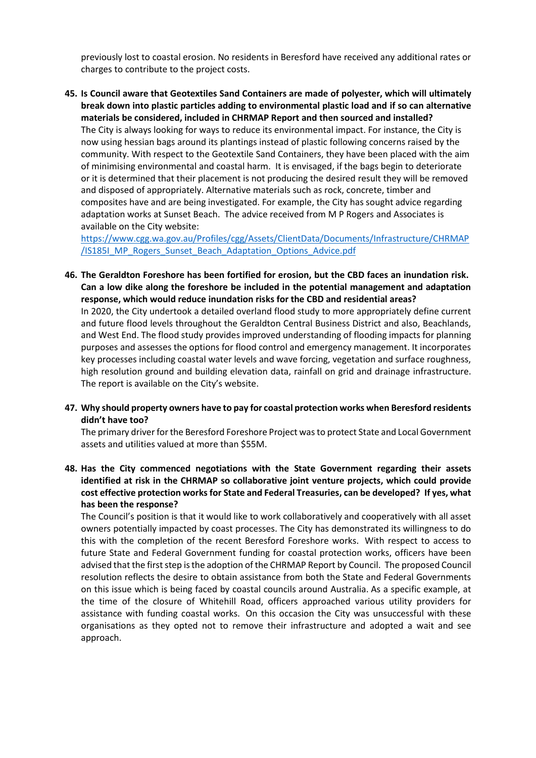previously lost to coastal erosion. No residents in Beresford have received any additional rates or charges to contribute to the project costs.

**45. Is Council aware that Geotextiles Sand Containers are made of polyester, which will ultimately break down into plastic particles adding to environmental plastic load and if so can alternative materials be considered, included in CHRMAP Report and then sourced and installed?** The City is always looking for ways to reduce its environmental impact. For instance, the City is now using hessian bags around its plantings instead of plastic following concerns raised by the community. With respect to the Geotextile Sand Containers, they have been placed with the aim of minimising environmental and coastal harm. It is envisaged, if the bags begin to deteriorate or it is determined that their placement is not producing the desired result they will be removed and disposed of appropriately. Alternative materials such as rock, concrete, timber and composites have and are being investigated. For example, the City has sought advice regarding adaptation works at Sunset Beach. The advice received from M P Rogers and Associates is available on the City website:

https://www.cgg.wa.gov.au/Profiles/cgg/Assets/ClientData/Documents/Infrastructure/CHRMAP /IS185I\_MP\_Rogers\_Sunset\_Beach\_Adaptation\_Options\_Advice.pdf

**46. The Geraldton Foreshore has been fortified for erosion, but the CBD faces an inundation risk.  Can a low dike along the foreshore be included in the potential management and adaptation response, which would reduce inundation risks for the CBD and residential areas?**

In 2020, the City undertook a detailed overland flood study to more appropriately define current and future flood levels throughout the Geraldton Central Business District and also, Beachlands, and West End. The flood study provides improved understanding of flooding impacts for planning purposes and assesses the options for flood control and emergency management. It incorporates key processes including coastal water levels and wave forcing, vegetation and surface roughness, high resolution ground and building elevation data, rainfall on grid and drainage infrastructure. The report is available on the City's website.

**47. Why should property owners have to pay for coastal protection works when Beresford residents didn't have too?**

The primary driver for the Beresford Foreshore Project was to protect State and Local Government assets and utilities valued at more than \$55M.

**48. Has the City commenced negotiations with the State Government regarding their assets identified at risk in the CHRMAP so collaborative joint venture projects, which could provide cost effective protection works for State and Federal Treasuries, can be developed?  If yes, what has been the response?**

The Council's position is that it would like to work collaboratively and cooperatively with all asset owners potentially impacted by coast processes. The City has demonstrated its willingness to do this with the completion of the recent Beresford Foreshore works. With respect to access to future State and Federal Government funding for coastal protection works, officers have been advised that the first step is the adoption of the CHRMAP Report by Council. The proposed Council resolution reflects the desire to obtain assistance from both the State and Federal Governments on this issue which is being faced by coastal councils around Australia. As a specific example, at the time of the closure of Whitehill Road, officers approached various utility providers for assistance with funding coastal works. On this occasion the City was unsuccessful with these organisations as they opted not to remove their infrastructure and adopted a wait and see approach.